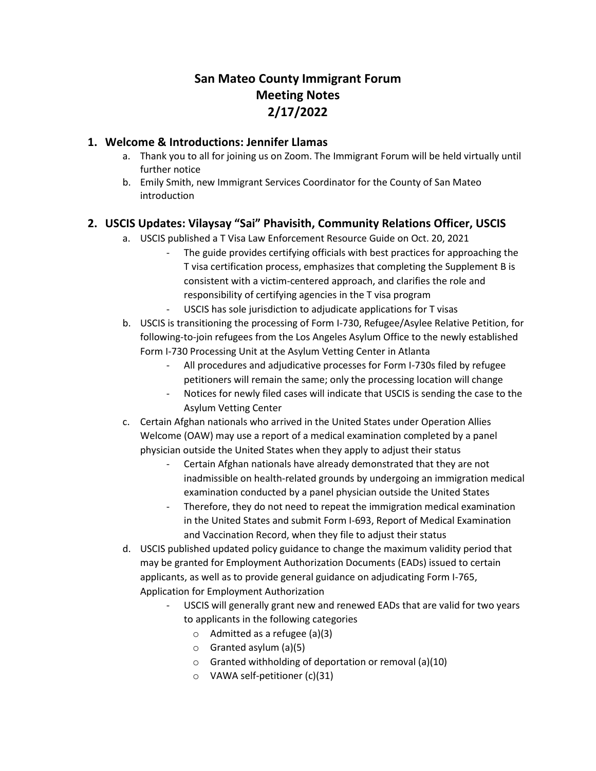# **San Mateo County Immigrant Forum Meeting Notes 2/17/2022**

## **1. Welcome & Introductions: Jennifer Llamas**

- a. Thank you to all for joining us on Zoom. The Immigrant Forum will be held virtually until further notice
- b. Emily Smith, new Immigrant Services Coordinator for the County of San Mateo introduction

## **2. USCIS Updates: Vilaysay "Sai" Phavisith, Community Relations Officer, USCIS**

- a. USCIS published a T Visa Law Enforcement Resource Guide on Oct. 20, 2021
	- The guide provides certifying officials with best practices for approaching the T visa certification process, emphasizes that completing the Supplement B is consistent with a victim-centered approach, and clarifies the role and responsibility of certifying agencies in the T visa program
	- USCIS has sole jurisdiction to adjudicate applications for T visas
- b. USCIS is transitioning the processing of Form I-730, Refugee/Asylee Relative Petition, for following-to-join refugees from the Los Angeles Asylum Office to the newly established Form I-730 Processing Unit at the Asylum Vetting Center in Atlanta
	- All procedures and adjudicative processes for Form I-730s filed by refugee petitioners will remain the same; only the processing location will change
	- Notices for newly filed cases will indicate that USCIS is sending the case to the Asylum Vetting Center
- c. Certain Afghan nationals who arrived in the United States under Operation Allies Welcome (OAW) may use a report of a medical examination completed by a panel physician outside the United States when they apply to adjust their status
	- Certain Afghan nationals have already demonstrated that they are not inadmissible on health-related grounds by undergoing an immigration medical examination conducted by a panel physician outside the United States
	- Therefore, they do not need to repeat the immigration medical examination in the United States and submit Form I-693, Report of Medical Examination and Vaccination Record, when they file to adjust their status
- d. USCIS published updated policy guidance to change the maximum validity period that may be granted for Employment Authorization Documents (EADs) issued to certain applicants, as well as to provide general guidance on adjudicating Form I-765, Application for Employment Authorization
	- USCIS will generally grant new and renewed EADs that are valid for two years to applicants in the following categories
		- $\circ$  Admitted as a refugee (a)(3)
		- o Granted asylum (a)(5)
		- o Granted withholding of deportation or removal (a)(10)
		- o VAWA self-petitioner (c)(31)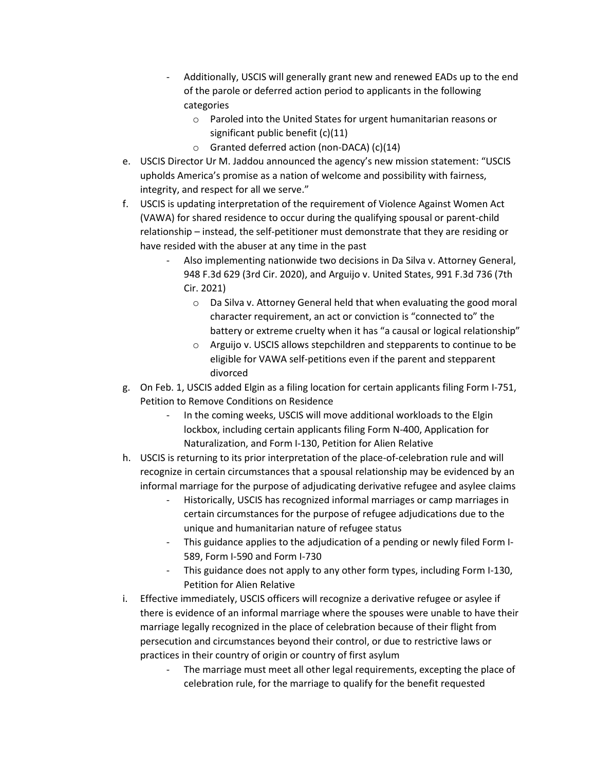- Additionally, USCIS will generally grant new and renewed EADs up to the end of the parole or deferred action period to applicants in the following categories
	- o Paroled into the United States for urgent humanitarian reasons or significant public benefit (c)(11)
	- o Granted deferred action (non-DACA) (c)(14)
- e. USCIS Director Ur M. Jaddou announced the agency's new mission statement: "USCIS upholds America's promise as a nation of welcome and possibility with fairness, integrity, and respect for all we serve."
- f. USCIS is updating interpretation of the requirement of Violence Against Women Act (VAWA) for shared residence to occur during the qualifying spousal or parent-child relationship – instead, the self-petitioner must demonstrate that they are residing or have resided with the abuser at any time in the past
	- Also implementing nationwide two decisions in Da Silva v. Attorney General, 948 F.3d 629 (3rd Cir. 2020), and Arguijo v. United States, 991 F.3d 736 (7th Cir. 2021)
		- o Da Silva v. Attorney General held that when evaluating the good moral character requirement, an act or conviction is "connected to" the battery or extreme cruelty when it has "a causal or logical relationship"
		- o Arguijo v. USCIS allows stepchildren and stepparents to continue to be eligible for VAWA self-petitions even if the parent and stepparent divorced
- g. On Feb. 1, USCIS added Elgin as a filing location for certain applicants filing Form I-751, Petition to Remove Conditions on Residence
	- In the coming weeks, USCIS will move additional workloads to the Elgin lockbox, including certain applicants filing Form N-400, Application for Naturalization, and Form I-130, Petition for Alien Relative
- h. USCIS is returning to its prior interpretation of the place-of-celebration rule and will recognize in certain circumstances that a spousal relationship may be evidenced by an informal marriage for the purpose of adjudicating derivative refugee and asylee claims
	- Historically, USCIS has recognized informal marriages or camp marriages in certain circumstances for the purpose of refugee adjudications due to the unique and humanitarian nature of refugee status
	- This guidance applies to the adjudication of a pending or newly filed Form I-589, Form I-590 and Form I-730
	- This guidance does not apply to any other form types, including Form I-130, Petition for Alien Relative
- i. Effective immediately, USCIS officers will recognize a derivative refugee or asylee if there is evidence of an informal marriage where the spouses were unable to have their marriage legally recognized in the place of celebration because of their flight from persecution and circumstances beyond their control, or due to restrictive laws or practices in their country of origin or country of first asylum
	- The marriage must meet all other legal requirements, excepting the place of celebration rule, for the marriage to qualify for the benefit requested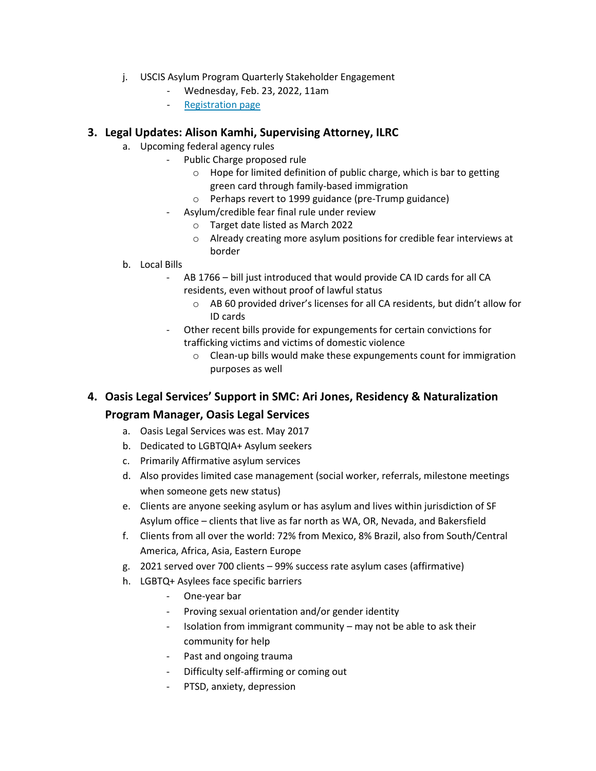- j. USCIS Asylum Program Quarterly Stakeholder Engagement
	- Wednesday, Feb. 23, 2022, 11am
	- [Registration page](https://gcc02.safelinks.protection.outlook.com/?url=https%3A%2F%2Flnks.gd%2Fl%2FeyJhbGciOiJIUzI1NiJ9.eyJidWxsZXRpbl9saW5rX2lkIjoxMDAsInVyaSI6ImJwMjpjbGljayIsImJ1bGxldGluX2lkIjoiMjAyMjAxMzEuNTI2NjAxMDEiLCJ1cmwiOiJodHRwczovL3B1YmxpYy5nb3ZkZWxpdmVyeS5jb20vYWNjb3VudHMvVVNESFNDSVMvc3Vic2NyaWJlci9uZXc_dG9waWNfaWQ9VVNESFNDSVNfNTQwIn0.ImOnH-9XsEFASIb4HczybBzgL7YlcZ4CioIjwN6zW0s%2Fs%2F2132116149%2Fbr%2F125918088687-l&data=04%7C01%7Cvilaysay.phavisith%40uscis.dhs.gov%7C4d1ade036c3b4e54621708d9e504dff3%7C5e41ee740d2d4a728975998ce83205eb%7C0%7C0%7C637792631364413832%7CUnknown%7CTWFpbGZsb3d8eyJWIjoiMC4wLjAwMDAiLCJQIjoiV2luMzIiLCJBTiI6Ik1haWwiLCJXVCI6Mn0%3D%7C3000&sdata=BrlREmtVnvrJlRnTGl%2FvW2UuNvH6hng83Bk%2B6UzjTQk%3D&reserved=0)

### **3. Legal Updates: Alison Kamhi, Supervising Attorney, ILRC**

- a. Upcoming federal agency rules
	- Public Charge proposed rule
		- $\circ$  Hope for limited definition of public charge, which is bar to getting green card through family-based immigration
		- o Perhaps revert to 1999 guidance (pre-Trump guidance)
		- Asylum/credible fear final rule under review
			- o Target date listed as March 2022
			- o Already creating more asylum positions for credible fear interviews at border

#### b. Local Bills

- AB 1766 bill just introduced that would provide CA ID cards for all CA residents, even without proof of lawful status
	- o AB 60 provided driver's licenses for all CA residents, but didn't allow for ID cards
- Other recent bills provide for expungements for certain convictions for trafficking victims and victims of domestic violence
	- o Clean-up bills would make these expungements count for immigration purposes as well
- **4. Oasis Legal Services' Support in SMC: Ari Jones, Residency & Naturalization Program Manager, Oasis Legal Services**
	- a. Oasis Legal Services was est. May 2017
	- b. Dedicated to LGBTQIA+ Asylum seekers
	- c. Primarily Affirmative asylum services
	- d. Also provides limited case management (social worker, referrals, milestone meetings when someone gets new status)
	- e. Clients are anyone seeking asylum or has asylum and lives within jurisdiction of SF Asylum office – clients that live as far north as WA, OR, Nevada, and Bakersfield
	- f. Clients from all over the world: 72% from Mexico, 8% Brazil, also from South/Central America, Africa, Asia, Eastern Europe
	- g. 2021 served over 700 clients 99% success rate asylum cases (affirmative)
	- h. LGBTQ+ Asylees face specific barriers
		- One-year bar
		- Proving sexual orientation and/or gender identity
		- Isolation from immigrant community may not be able to ask their community for help
		- Past and ongoing trauma
		- Difficulty self-affirming or coming out
		- PTSD, anxiety, depression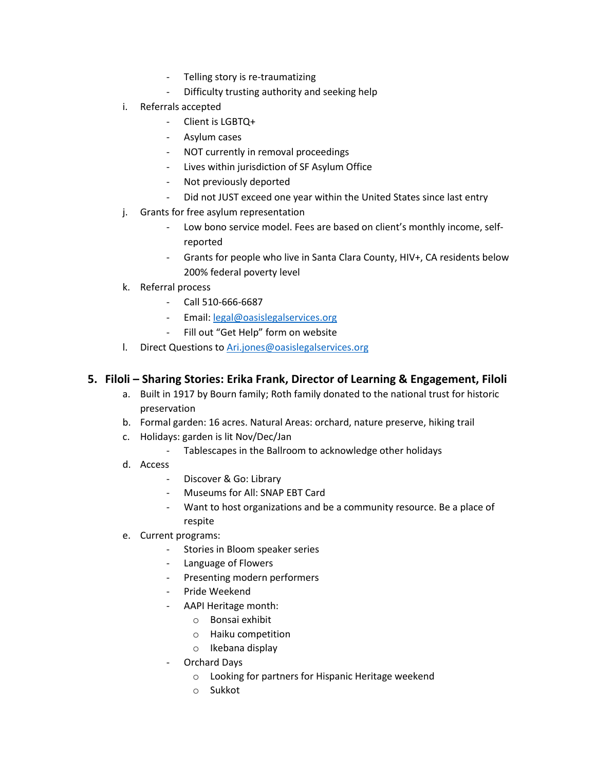- Telling story is re-traumatizing
- Difficulty trusting authority and seeking help
- i. Referrals accepted
	- Client is LGBTQ+
	- Asylum cases
	- NOT currently in removal proceedings
	- Lives within jurisdiction of SF Asylum Office
	- Not previously deported
	- Did not JUST exceed one year within the United States since last entry
- j. Grants for free asylum representation
	- Low bono service model. Fees are based on client's monthly income, selfreported
	- Grants for people who live in Santa Clara County, HIV+, CA residents below 200% federal poverty level
- k. Referral process
	- Call 510-666-6687
	- Email: [legal@oasislegalservices.org](mailto:legal@oasislegalservices.org)
	- Fill out "Get Help" form on website
- l. Direct Questions to [Ari.jones@oasislegalservices.org](mailto:Ari.jones@oasislegalservices.org)

### **5. Filoli – Sharing Stories: Erika Frank, Director of Learning & Engagement, Filoli**

- a. Built in 1917 by Bourn family; Roth family donated to the national trust for historic preservation
- b. Formal garden: 16 acres. Natural Areas: orchard, nature preserve, hiking trail
- c. Holidays: garden is lit Nov/Dec/Jan
	- Tablescapes in the Ballroom to acknowledge other holidays
- d. Access
	- Discover & Go: Library
	- Museums for All: SNAP EBT Card
	- Want to host organizations and be a community resource. Be a place of respite
- e. Current programs:
	- Stories in Bloom speaker series
	- Language of Flowers
	- Presenting modern performers
	- Pride Weekend
	- AAPI Heritage month:
		- o Bonsai exhibit
		- o Haiku competition
		- o Ikebana display
	- Orchard Days
		- o Looking for partners for Hispanic Heritage weekend
		- o Sukkot